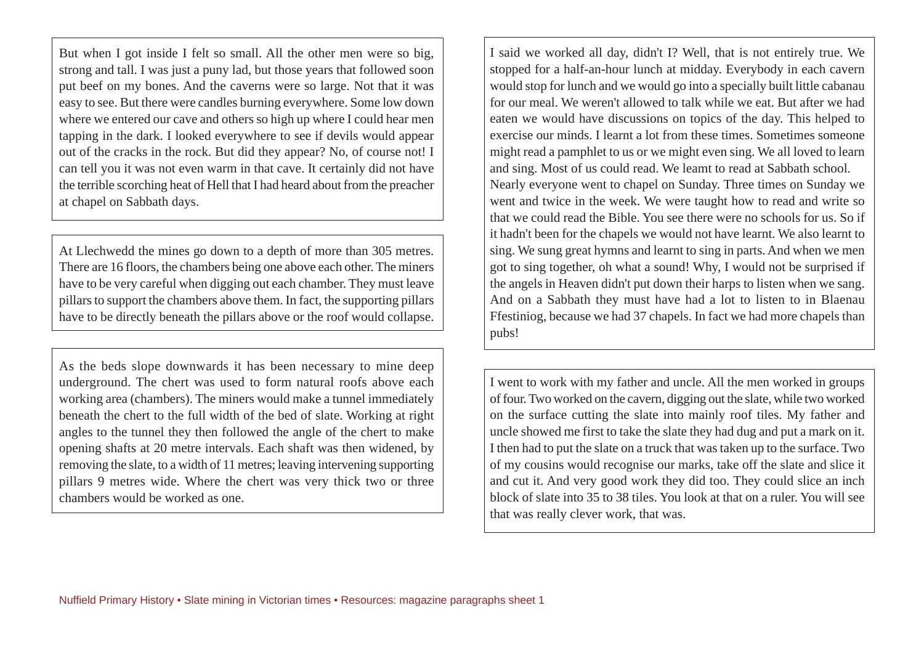But when I got inside I felt so small. All the other men were so big, strong and tall. I was just a puny lad, but those years that followed soon put beef on my bones. And the caverns were so large. Not that it was easy to see. But there were candles burning everywhere. Some low down where we entered our cave and others so high up where I could hear men tapping in the dark. I looked everywhere to see if devils would appear out of the cracks in the rock. But did they appear? No, of course not! I can tell you it was not even warm in that cave. It certainly did not have the terrible scorching heat of Hell that I had heard about from the preacher at chapel on Sabbath days.

At Llechwedd the mines go down to a depth of more than 305 metres. There are 16 floors, the chambers being one above each other. The miners have to be very careful when digging out each chamber. They must leave pillars to support the chambers above them. In fact, the supporting pillars have to be directly beneath the pillars above or the roof would collapse.

As the beds slope downwards it has been necessary to mine deep underground. The chert was used to form natural roofs above each working area (chambers). The miners would make a tunnel immediately beneath the chert to the full width of the bed of slate. Working at right angles to the tunnel they then followed the angle of the chert to make opening shafts at 20 metre intervals. Each shaft was then widened, by removing the slate, to a width of 11 metres; leaving intervening supporting pillars 9 metres wide. Where the chert was very thick two or three chambers would be worked as one.

I said we worked all day, didn't I? Well, that is not entirely true. We stopped for a half-an-hour lunch at midday. Everybody in each cavern would stop for lunch and we would go into a specially built little cabanau for our meal. We weren't allowed to talk while we eat. But after we had eaten we would have discussions on topics of the day. This helped to exercise our minds. I learnt a lot from these times. Sometimes someone might read a pamphlet to us or we might even sing. We all loved to learn and sing. Most of us could read. We leamt to read at Sabbath school. Nearly everyone went to chapel on Sunday. Three times on Sunday we went and twice in the week. We were taught how to read and write so that we could read the Bible. You see there were no schools for us. So if it hadn't been for the chapels we would not have learnt. We also learnt to sing. We sung great hymns and learnt to sing in parts. And when we men got to sing together, oh what a sound! Why, I would not be surprised if the angels in Heaven didn't put down their harps to listen when we sang. And on a Sabbath they must have had a lot to listen to in Blaenau Ffestiniog, because we had 37 chapels. In fact we had more chapels than pubs!

I went to work with my father and uncle. All the men worked in groups of four. Two worked on the cavern, digging out the slate, while two worked on the surface cutting the slate into mainly roof tiles. My father and uncle showed me first to take the slate they had dug and put a mark on it. I then had to put the slate on a truck that was taken up to the surface. Two of my cousins would recognise our marks, take off the slate and slice it and cut it. And very good work they did too. They could slice an inch block of slate into 35 to 38 tiles. You look at that on a ruler. You will see that was really clever work, that was.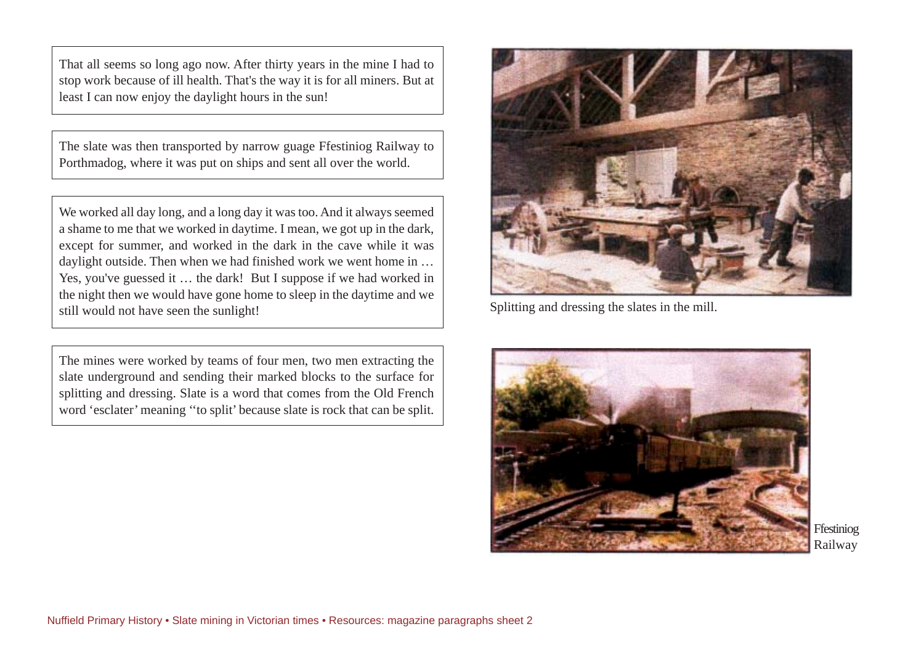That all seems so long ago now. After thirty years in the mine I had to stop work because of ill health. That's the way it is for all miners. But at least I can now enjoy the daylight hours in the sun!

The slate was then transported by narrow guage Ffestiniog Railway to Porthmadog, where it was put on ships and sent all over the world.

We worked all day long, and a long day it was too. And it always seemed a shame to me that we worked in daytime. I mean, we got up in the dark, except for summer, and worked in the dark in the cave while it was daylight outside. Then when we had finished work we went home in … Yes, you've guessed it … the dark! But I suppose if we had worked in the night then we would have gone home to sleep in the daytime and we still would not have seen the sunlight!

The mines were worked by teams of four men, two men extracting the slate underground and sending their marked blocks to the surface for splitting and dressing. Slate is a word that comes from the Old French word 'esclater' meaning ''to split' because slate is rock that can be split.



Splitting and dressing the slates in the mill.



Ffestiniog Railway